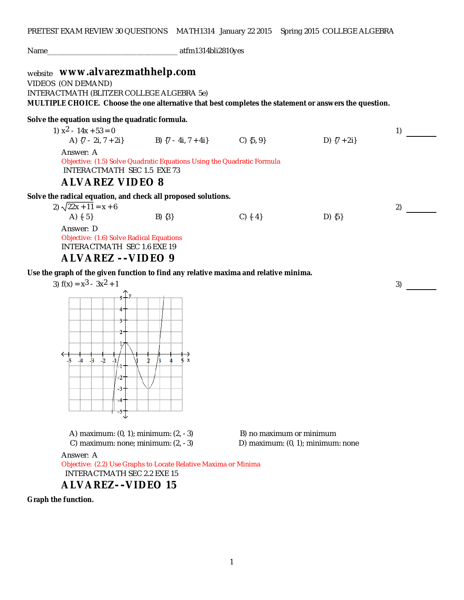| Name_                                                                                                                                                                                                                                                                                       | atfm1314bli2810yes |           |                 |    |  |  |  |
|---------------------------------------------------------------------------------------------------------------------------------------------------------------------------------------------------------------------------------------------------------------------------------------------|--------------------|-----------|-----------------|----|--|--|--|
| website WWW.alvarezmathhelp.com<br>VIDEOS (ON DEMAND)<br>INTERACTMATH (BLITZER COLLEGE ALGEBRA 5e)<br>MULTIPLE CHOICE. Choose the one alternative that best completes the statement or answers the question.                                                                                |                    |           |                 |    |  |  |  |
| Solve the equation using the quadratic formula.<br>1) $x^2 - 14x + 53 = 0$<br>A) $\{7 - 2i, 7 + 2i\}$ B) $\{7 - 4i, 7 + 4i\}$ C) $\{5, 9\}$<br>Answer: A<br>Objective: (1.5) Solve Quadratic Equations Using the Quadratic Formula<br>INTERACTMATH SEC 1.5 EXE 73<br><b>ALVAREZ VIDEO 8</b> |                    |           | D) $\{7 + 2i\}$ | 1) |  |  |  |
| Solve the radical equation, and check all proposed solutions.<br>2) $\sqrt{22x + 11} = x + 6$<br>A) $\{-5\}$<br>Answer: D<br>Objective: (1.6) Solve Radical Equations<br><b>INTERACTMATH SEC 1.6 EXE 19</b><br>ALVAREZ -- VIDEO 9                                                           | $B)$ $\{3\}$       | $C)$ {-4} | $D)$ {5}        | 2) |  |  |  |
| Use the graph of the given function to find any relative maxima and relative minima.<br>3) $f(x) = x^3 - 3x^2 + 1$                                                                                                                                                                          | $\mathbf x$        |           |                 | 3) |  |  |  |

 INTERACTMATH SEC 2.2 EXE 15 **ALVAREZ- -VIDEO 15**

A

Objective: (2.2) Use Graphs to Locate Relative Maxima or Minima

**Graph the function.**

Answer: A

A) maximum:  $(0, 1)$ ; minimum:  $(2, -3)$  B) no maximum or minimum

C) maximum: none; minimum:  $(2, -3)$  D) maximum:  $(0, 1)$ ; minimum: none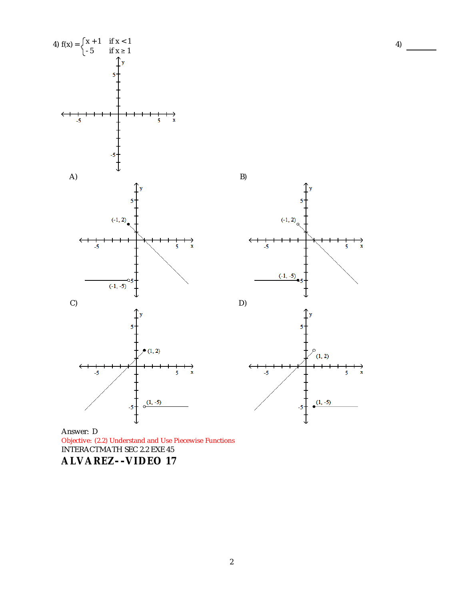



Answer: D Objective: (2.2) Understand and Use Piecewise Functions INTERACTMATH SEC 2.2 EXE 45 **ALVAREZ- -VIDEO 17**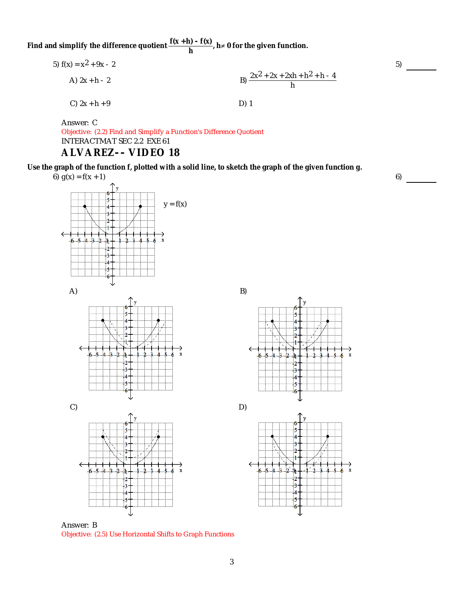Find and simplify the difference quotient  $\frac{f(x+h) - f(x)}{h}$ ,  $h \neq 0$  for the given function.

5) 
$$
f(x) = x^2 + 9x - 2
$$
  
\nA)  $2x + h - 2$   
\nB) 
$$
\frac{2x^2 + 2x + 2xh + h^2 + h - 4}{h}
$$
  
\nC)  $2x + h + 9$   
\nD) 1

Answer: C Objective: (2.2) Find and Simplify a Function's Difference Quotient INTERACTMAT SEC 2.2 EXE 61 **ALVAREZ- - VIDEO 18**

**Use the graph of the function f, plotted with a solid line, to sketch the graph of the given function g.** 6)  $g(x) = f(x + 1)$ 





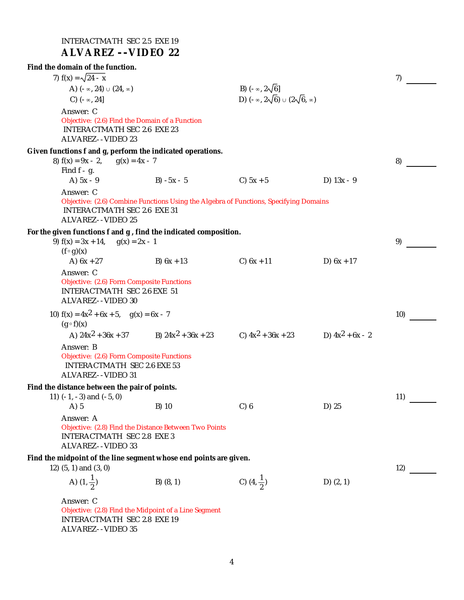| INTERACTMATH SEC 2.5 EXE 19<br><b>ALVAREZ -- VIDEO 22</b>                                                                                                     |                                                                  |                                                                                 |                    |     |  |
|---------------------------------------------------------------------------------------------------------------------------------------------------------------|------------------------------------------------------------------|---------------------------------------------------------------------------------|--------------------|-----|--|
| Find the domain of the function.                                                                                                                              |                                                                  |                                                                                 |                    |     |  |
| 7) $f(x) = \sqrt{24 - x}$                                                                                                                                     |                                                                  |                                                                                 |                    | 7)  |  |
| A) $(-\infty, 24) \cup (24, \infty)$<br>C) $(-\infty, 24]$                                                                                                    |                                                                  | B) $(-\infty, 2\sqrt{6}]$<br>D) $(-\infty, 2\sqrt{6}) \cup (2\sqrt{6}, \infty)$ |                    |     |  |
| Answer: C<br>Objective: (2.6) Find the Domain of a Function<br><b>INTERACTMATH SEC 2.6 EXE 23</b><br>ALVAREZ--VIDEO 23                                        |                                                                  |                                                                                 |                    |     |  |
| Given functions f and g, perform the indicated operations.<br>8) $f(x) = 9x - 2$<br>$g(x) = 4x - 7$<br>Find $f - g$ .                                         |                                                                  |                                                                                 |                    | 8)  |  |
| A) $5x - 9$                                                                                                                                                   | B) $-5x - 5$                                                     | C) $5x + 5$                                                                     | D) $13x - 9$       |     |  |
| Answer: C<br>Objective: (2.6) Combine Functions Using the Algebra of Functions, Specifying Domains<br><b>INTERACTMATH SEC 2.6 EXE 31</b><br>ALVAREZ--VIDEO 25 |                                                                  |                                                                                 |                    |     |  |
| For the given functions f and g, find the indicated composition.<br>9) $f(x) = 3x + 14$ , $g(x) = 2x - 1$<br>$(f \circ g)(x)$                                 |                                                                  |                                                                                 |                    | 9)  |  |
| A) $6x + 27$                                                                                                                                                  | B) $6x + 13$                                                     | $C) 6x + 11$                                                                    | D) $6x + 17$       |     |  |
| Answer: C<br>Objective: (2.6) Form Composite Functions<br><b>INTERACTMATH SEC 2.6 EXE 51</b><br>ALVAREZ--VIDEO 30                                             |                                                                  |                                                                                 |                    |     |  |
| $(g \circ f)(x)$                                                                                                                                              | 10) $f(x) = 4x^2 + 6x + 5$ , $g(x) = 6x - 7$                     |                                                                                 |                    |     |  |
|                                                                                                                                                               | A) $24x^2 + 36x + 37$ B) $24x^2 + 36x + 23$ C) $4x^2 + 36x + 23$ |                                                                                 | D) $4x^2 + 6x - 2$ |     |  |
| Answer: B<br>Objective: (2.6) Form Composite Functions<br>INTERACTMATH SEC 2.6 EXE 53<br>ALVAREZ--VIDEO 31                                                    |                                                                  |                                                                                 |                    |     |  |
| Find the distance between the pair of points.<br>11) $(-1, -3)$ and $(-5, 0)$                                                                                 |                                                                  |                                                                                 |                    | 11) |  |
| $A)$ 5                                                                                                                                                        | B) 10                                                            | C) 6                                                                            | D) 25              |     |  |
| Answer: A<br>Objective: (2.8) Find the Distance Between Two Points<br><b>INTERACTMATH SEC 2.8 EXE 3</b><br>ALVAREZ--VIDEO 33                                  |                                                                  |                                                                                 |                    |     |  |
| Find the midpoint of the line segment whose end points are given.<br>12) (5, 1) and (3, 0)                                                                    |                                                                  |                                                                                 |                    |     |  |
| A) $(1, \frac{1}{2})$                                                                                                                                         | $B)$ $(8, 1)$                                                    | C) $(4, \frac{1}{2})$                                                           | D) $(2, 1)$        |     |  |
| Answer: C<br>Objective: (2.8) Find the Midpoint of a Line Segment<br><b>INTERACTMATH SEC 2.8 EXE 19</b><br>ALVAREZ--VIDEO 35                                  |                                                                  |                                                                                 |                    |     |  |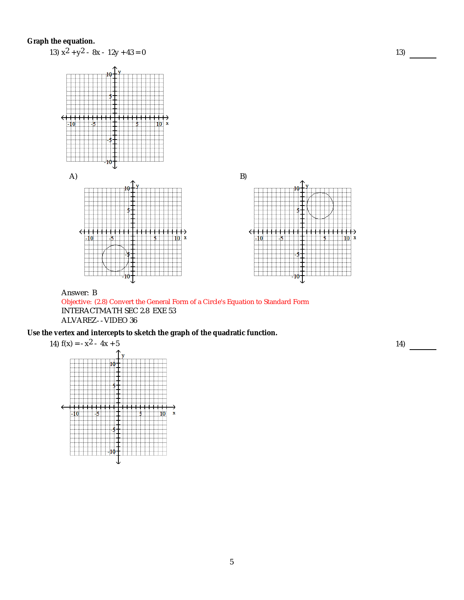

Objective: (2.8) Convert the General Form of a Circle's Equation to Standard Form INTERACTMATH SEC 2.8 EXE 53 ALVAREZ- -VIDEO 36

**Use the vertex and intercepts to sketch the graph of the quadratic function.**

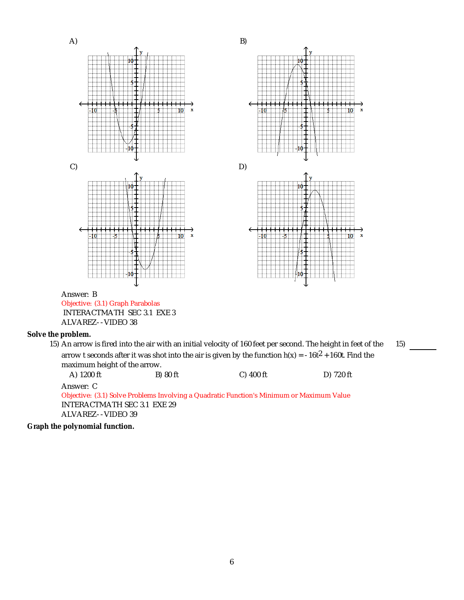

**Graph the polynomial function.**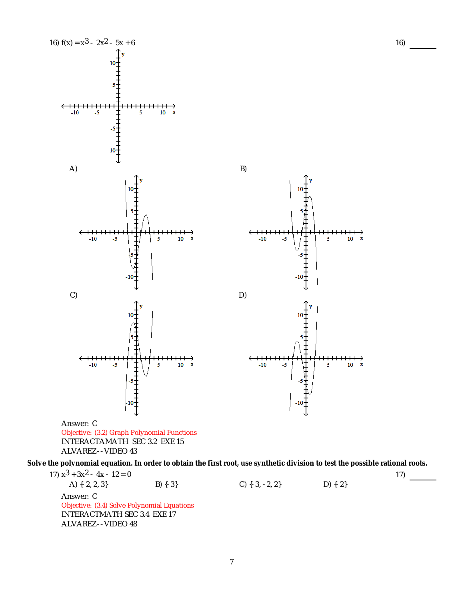

7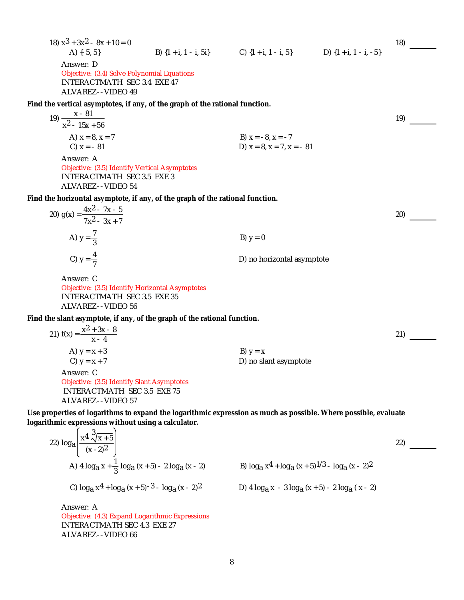| 18) $x^3 + 3x^2 - 8x + 10 = 0$                                                                                                                                         |                                                                              | 18) |
|------------------------------------------------------------------------------------------------------------------------------------------------------------------------|------------------------------------------------------------------------------|-----|
| A) $\{-5, 5\}$                                                                                                                                                         | B) $\{1 + i, 1 - i, 5i\}$ C) $\{1 + i, 1 - i, 5\}$ D) $\{1 + i, 1 - i, -5\}$ |     |
| Answer: D<br>Objective: (3.4) Solve Polynomial Equations<br>INTERACTMATH SEC 3.4 EXE 47<br>ALVAREZ--VIDEO 49                                                           |                                                                              |     |
| Find the vertical asymptotes, if any, of the graph of the rational function.                                                                                           |                                                                              |     |
| 19) $\frac{x - 81}{x^2 - 15x + 56}$                                                                                                                                    |                                                                              | 19) |
|                                                                                                                                                                        |                                                                              |     |
| A) $x = 8, x = 7$<br>C) $x = -81$                                                                                                                                      | B) $x = -8$ , $x = -7$<br>D) $x = 8$ , $x = 7$ , $x = -81$                   |     |
| Answer: A<br>Objective: (3.5) Identify Vertical Asymptotes<br><b>INTERACTMATH SEC 3.5 EXE 3</b><br>ALVAREZ--VIDEO 54                                                   |                                                                              |     |
| Find the horizontal asymptote, if any, of the graph of the rational function.                                                                                          |                                                                              |     |
| 20) $g(x) = \frac{4x^2 - 7x - 5}{7x^2 - 3x + 7}$                                                                                                                       |                                                                              | 20) |
| A) $y = \frac{7}{3}$                                                                                                                                                   | B) $y = 0$                                                                   |     |
| C) $y = \frac{4}{7}$                                                                                                                                                   | D) no horizontal asymptote                                                   |     |
| Answer: C<br>Objective: (3.5) Identify Horizontal Asymptotes<br><b>INTERACTMATH SEC 3.5 EXE 35</b><br>ALVAREZ--VIDEO 56                                                |                                                                              |     |
| Find the slant asymptote, if any, of the graph of the rational function.                                                                                               |                                                                              |     |
| 21) $f(x) = \frac{x^2 + 3x - 8}{x - 4}$                                                                                                                                |                                                                              | 21) |
| A) $y = x + 3$                                                                                                                                                         | B) $y = x$                                                                   |     |
| C) $y = x + 7$                                                                                                                                                         | D) no slant asymptote                                                        |     |
| Answer: C<br>Objective: (3.5) Identify Slant Asymptotes<br><b>INTERACTMATH SEC 3.5 EXE 75</b><br>ALVAREZ--VIDEO 57                                                     |                                                                              |     |
| Use properties of logarithms to expand the logarithmic expression as much as possible. Where possible, evaluate<br>logarithmic expressions without using a calculator. |                                                                              |     |
| 22) $log_{a}\left[\frac{x^4 \sqrt[3]{x+5}}{(x-2)^2}\right]$                                                                                                            |                                                                              | 22) |
| A) 4 $log_a x + \frac{1}{3} log_a (x + 5) - 2 log_a (x - 2)$                                                                                                           | B) $log_a x^4 + log_a (x + 5)^{1/3} - log_a (x - 2)^2$                       |     |
| C) $log_a x^4 + log_a (x + 5)^{-3} - log_a (x - 2)^2$                                                                                                                  | D) 4 $log_3 x - 3 log_3 (x + 5) - 2 log_3 (x - 2)$                           |     |
| Answer: A<br>Objective: (4.3) Expand Logarithmic Expressions<br><b>INTERACTMATH SEC 4.3 EXE 27</b><br>ALVAREZ--VIDEO 66                                                |                                                                              |     |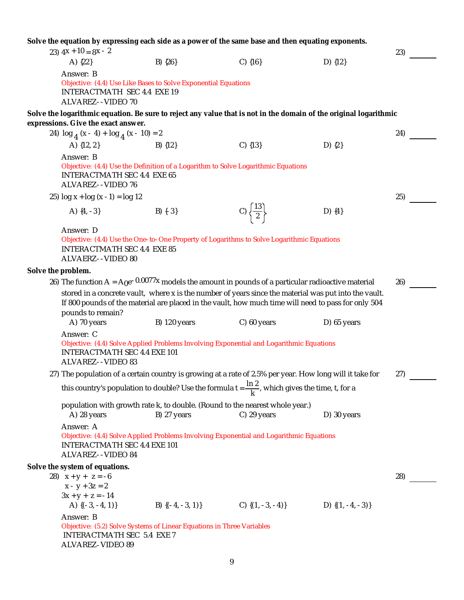**Solve the equation by expressing each side as a power of the same base and then equating exponents.** 23)  $4x + 10 = 8x - 2$  23) A) {22} B) {26} C) {16} D) {12} Answer: B Objective: (4.4) Use Like Bases to Solve Exponential Equations INTERACTMATH SEC 4.4 EXE 19 ALVAREZ- -VIDEO 70 **Solve the logarithmic equation. Be sure to reject any value that is not in the domain of the original logarithmic expressions. Give the exact answer.** 24)  $\log_{4} (x - 4) + \log_{4} (x - 10) = 2$ <br>
24)  $\log_{4} (x - 4) + \log_{4} (x - 10) = 2$ <br>
24)  $\log_{4} (x - 4) + \log_{4} (x - 10) = 2$ A)  ${12, 2}$ Answer: B Objective: (4.4) Use the Definition of a Logarithm to Solve Logarithmic Equations INTERACTMATH SEC 4.4 EXE 65 ALVAREZ- -VIDEO 76  $25)$  log x + log (x - 1) = log 12 25) A)  $\{4, -3\}$  B)  $\{-3\}$  C)  $\frac{\{13\}}{2}$  D)  $\{4\}$ Answer: D Objective: (4.4) Use the One-to-One Property of Logarithms to Solve Logarithmic Equations INTERACTMATH SEC 4.4 EXE 85 ALVAERZ- -VIDEO 80 **Solve the problem.** 26) The function A =  $A_0e^{-0.0077x}$  models the amount in pounds of a particular radioactive material stored in a concrete vault, where x is the number of years since the material was put into the vault. If 800 pounds of the material are placed in the vault, how much time will need to pass for only 504 The function  $A = A_0e^{-0.0077x}$  models the amount in pounds of a particular radioactive material 26)<br>stored in a concrete vault, where x is the number of years since the material was put into the vault.<br>If 800 pounds of th A) 70 years B) 120 years C) 60 years D) 65 years Answer: C Objective: (4.4) Solve Applied Problems Involving Exponential and Logarithmic Equations INTERACTMATH SEC 4.4 EXE 101 ALVAREZ- -VIDEO 83 27) The population of a certain country is growing at a rate of 2.5% per year. How long will it take for this country's population to double? Use the formula t =  $\frac{\ln 2}{\mathsf{k}}$ , which gives the time, t, for a The population of a certain country is growing at a rate of 2.5% per year. How long will it take for 27)<br>this country's population to double? Use the formula t =  $\frac{\ln 2}{\kappa}$ , which gives the time, t, for a<br>population wi A) 28 years B) 27 years C) 29 years D) 30 years Answer: A Objective: (4.4) Solve Applied Problems Involving Exponential and Logarithmic Equations INTERACTMATH SEC 4.4 EXE 101 ALVAREZ- -VIDEO 84 **Solve the system of equations.** 28)  $x + y + z = -6$ <br> $x - y + 3z = 2$  $x + y + z = -6$ <br>  $x - y + 3z = 2$ <br>  $3x + y + z = -14$  28) A)  $\{(-3, -4, 1)\}$  B)  $\{(-4, -3, 1)\}$  C)  $\{(1, -3, -4)\}$  D)  $\{(1, -4, -3)\}$ Answer: B Objective: (5.2) Solve Systems of Linear Equations in Three Variables INTERACTMATH SEC 5.4 EXE 7 ALVAREZ-VIDEO 89